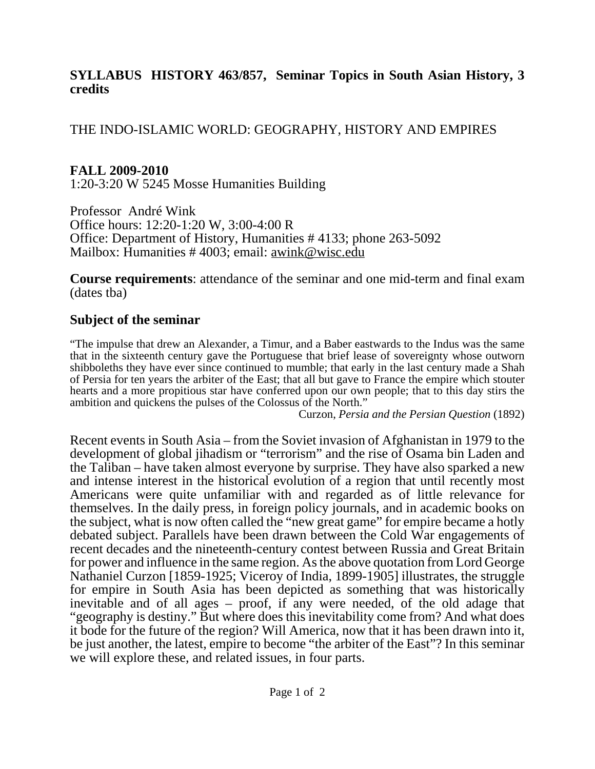#### **SYLLABUS HISTORY 463/857, Seminar Topics in South Asian History, 3 credits**

### THE INDO-ISLAMIC WORLD: GEOGRAPHY, HISTORY AND EMPIRES

## **FALL 2009-2010**

1:20-3:20 W 5245 Mosse Humanities Building

Professor André Wink Office hours: 12:20-1:20 W, 3:00-4:00 R Office: Department of History, Humanities # 4133; phone 263-5092 Mailbox: Humanities # 4003; email: awink@wisc.edu

**Course requirements**: attendance of the seminar and one mid-term and final exam (dates tba)

# **Subject of the seminar**

"The impulse that drew an Alexander, a Timur, and a Baber eastwards to the Indus was the same that in the sixteenth century gave the Portuguese that brief lease of sovereignty whose outworn shibboleths they have ever since continued to mumble; that early in the last century made a Shah of Persia for ten years the arbiter of the East; that all but gave to France the empire which stouter hearts and a more propitious star have conferred upon our own people; that to this day stirs the ambition and quickens the pulses of the Colossus of the North."

Curzon, *Persia and the Persian Question* (1892)

Recent events in South Asia – from the Soviet invasion of Afghanistan in 1979 to the development of global jihadism or "terrorism" and the rise of Osama bin Laden and the Taliban – have taken almost everyone by surprise. They have also sparked a new and intense interest in the historical evolution of a region that until recently most Americans were quite unfamiliar with and regarded as of little relevance for themselves. In the daily press, in foreign policy journals, and in academic books on the subject, what is now often called the "new great game" for empire became a hotly debated subject. Parallels have been drawn between the Cold War engagements of recent decades and the nineteenth-century contest between Russia and Great Britain for power and influence in the same region. As the above quotation from Lord George Nathaniel Curzon [1859-1925; Viceroy of India, 1899-1905] illustrates, the struggle for empire in South Asia has been depicted as something that was historically inevitable and of all ages – proof, if any were needed, of the old adage that "geography is destiny." But where does this inevitability come from? And what does it bode for the future of the region? Will America, now that it has been drawn into it, be just another, the latest, empire to become "the arbiter of the East"? In this seminar we will explore these, and related issues, in four parts.